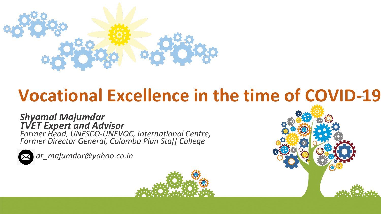

# **Vocational Excellence in the time of COVID-19**

#### *Shyamal Majumdar TVET Expert and Advisor Former Head, UNESCO-UNEVOC, International Centre,*

*Former Director General, Colombo Plan Staff College* 



*dr\_majumdar@yahoo.co.in*



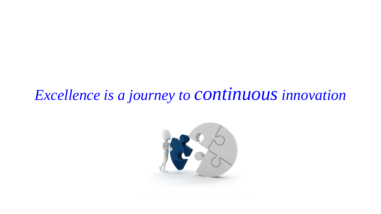#### *Excellence is a journey to continuousinnovation*

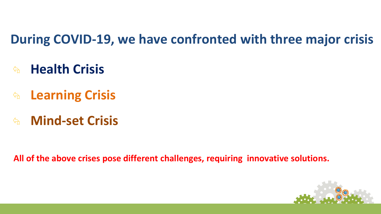#### **During COVID-19, we have confronted with three major crisis**

- ⮲ **Health Crisis**
- ⮲ **Learning Crisis**
- ⮲ **Mind-set Crisis**

**All of the above crises pose different challenges, requiring innovative solutions.**

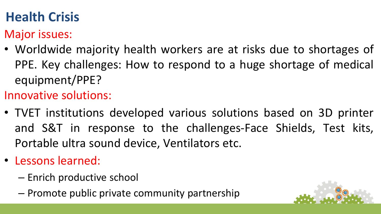### **Health Crisis**

Major issues:

• Worldwide majority health workers are at risks due to shortages of PPE. Key challenges: How to respond to a huge shortage of medical equipment/PPE?

Innovative solutions:

- TVET institutions developed various solutions based on 3D printer and S&T in response to the challenges-Face Shields, Test kits, Portable ultra sound device, Ventilators etc.
- Lessons learned:
	- Enrich productive school
	- Promote public private community partnership

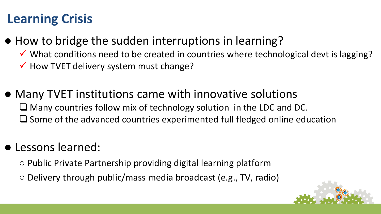#### **Learning Crisis**

- How to bridge the sudden interruptions in learning?
	- ✓ What conditions need to be created in countries where technological devt is lagging?
	- $\checkmark$  How TVET delivery system must change?
- Many TVET institutions came with innovative solutions ❑ Many countries follow mix of technology solution in the LDC and DC. ❑ Some of the advanced countries experimented full fledged online education

#### ● Lessons learned:

- Public Private Partnership providing digital learning platform
- Delivery through public/mass media broadcast (e.g., TV, radio)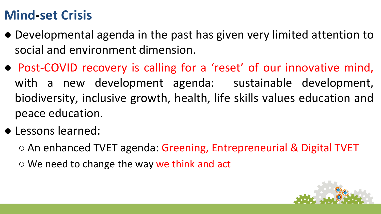#### **Mind-set Crisis**

- Developmental agenda in the past has given very limited attention to social and environment dimension.
- Post-COVID recovery is calling for a 'reset' of our innovative mind, with a new development agenda: sustainable development, biodiversity, inclusive growth, health, life skills values education and peace education.
- Lessons learned:

○ An enhanced TVET agenda: Greening, Entrepreneurial & Digital TVET

 $\circ$  We need to change the way we think and act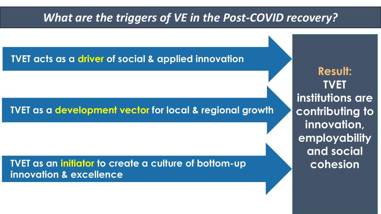#### *What are the triggers of VE in the Post-COVID recovery?*

**TVET acts as a driver of social & applied innovation** 

#### **TVET as a development vector for local & regional growth**

**TVET as an initiator to create a culture of bottom-up innovation & excellence**

**Result: TVET institutions are contributing to innovation, employability and social cohesion**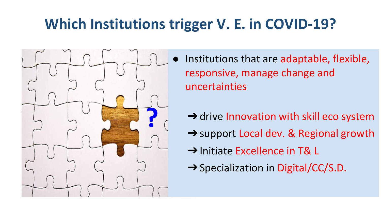## **Which Institutions trigger V. E. in COVID-19?**

- **?**
- Institutions that are adaptable, flexible, responsive, manage change and uncertainties
	- $\rightarrow$  drive Innovation with skill eco system
	- **→** support Local dev. & Regional growth
	- → Initiate Excellence in T& L
	- **→ Specialization in Digital/CC/S.D.**